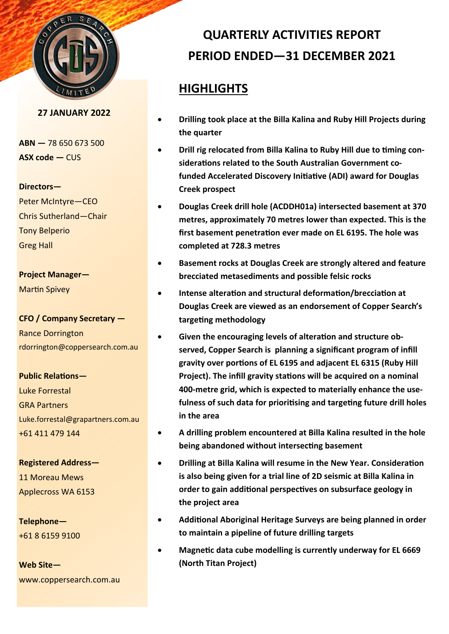

#### **27 JANUARY 2022**

**ABN —** 78 650 673 500 **ASX code —** CUS

#### **Directors—**

Peter McIntyre—CEO Chris Sutherland—Chair Tony Belperio Greg Hall

## **Project Manager—**

Martin Spivey

### **CFO / Company Secretary —**

Rance Dorrington rdorrington@coppersearch.com.au

#### **Public Relations—**

Luke Forrestal GRA Partners Luke.forrestal@grapartners.com.au +61 411 479 144

## **Registered Address—** 11 Moreau Mews Applecross WA 6153

**Telephone—** +61 8 6159 9100

**Web Site** www.coppersearch.com.au

# **QUARTERLY ACTIVITIES REPORT PERIOD ENDED—31 DECEMBER 2021**

## **HIGHLIGHTS**

- **Drilling took place at the Billa Kalina and Ruby Hill Projects during the quarter**
- **Drill rig relocated from Billa Kalina to Ruby Hill due to timing considerations related to the South Australian Government cofunded Accelerated Discovery Initiative (ADI) award for Douglas Creek prospect**
- **Douglas Creek drill hole (ACDDH01a) intersected basement at 370 metres, approximately 70 metres lower than expected. This is the first basement penetration ever made on EL 6195. The hole was completed at 728.3 metres**
- **Basement rocks at Douglas Creek are strongly altered and feature brecciated metasediments and possible felsic rocks**
- **Intense alteration and structural deformation/brecciation at Douglas Creek are viewed as an endorsement of Copper Search's targeting methodology**
- **Given the encouraging levels of alteration and structure observed, Copper Search is planning a significant program of infill gravity over portions of EL 6195 and adjacent EL 6315 (Ruby Hill Project). The infill gravity stations will be acquired on a nominal 400-metre grid, which is expected to materially enhance the usefulness of such data for prioritising and targeting future drill holes in the area**
- **A drilling problem encountered at Billa Kalina resulted in the hole being abandoned without intersecting basement**
- **Drilling at Billa Kalina will resume in the New Year. Consideration is also being given for a trial line of 2D seismic at Billa Kalina in order to gain additional perspectives on subsurface geology in the project area**
- **Additional Aboriginal Heritage Surveys are being planned in order to maintain a pipeline of future drilling targets**
- **Magnetic data cube modelling is currently underway for EL 6669 (North Titan Project)**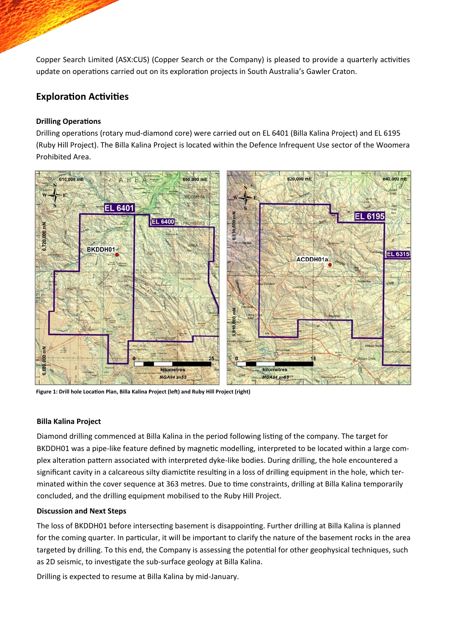Copper Search Limited (ASX:CUS) (Copper Search or the Company) is pleased to provide a quarterly activities update on operations carried out on its exploration projects in South Australia's Gawler Craton.

## **Exploration Activities**

### **Drilling Operations**

Drilling operations (rotary mud-diamond core) were carried out on EL 6401 (Billa Kalina Project) and EL 6195 (Ruby Hill Project). The Billa Kalina Project is located within the Defence Infrequent Use sector of the Woomera Prohibited Area.



**Figure 1: Drill hole Location Plan, Billa Kalina Project (left) and Ruby Hill Project (right)**

#### **Billa Kalina Project**

Diamond drilling commenced at Billa Kalina in the period following listing of the company. The target for BKDDH01 was a pipe-like feature defined by magnetic modelling, interpreted to be located within a large complex alteration pattern associated with interpreted dyke-like bodies. During drilling, the hole encountered a significant cavity in a calcareous silty diamictite resulting in a loss of drilling equipment in the hole, which terminated within the cover sequence at 363 metres. Due to time constraints, drilling at Billa Kalina temporarily concluded, and the drilling equipment mobilised to the Ruby Hill Project.

#### **Discussion and Next Steps**

The loss of BKDDH01 before intersecting basement is disappointing. Further drilling at Billa Kalina is planned for the coming quarter. In particular, it will be important to clarify the nature of the basement rocks in the area targeted by drilling. To this end, the Company is assessing the potential for other geophysical techniques, such as 2D seismic, to investigate the sub-surface geology at Billa Kalina.

Drilling is expected to resume at Billa Kalina by mid-January.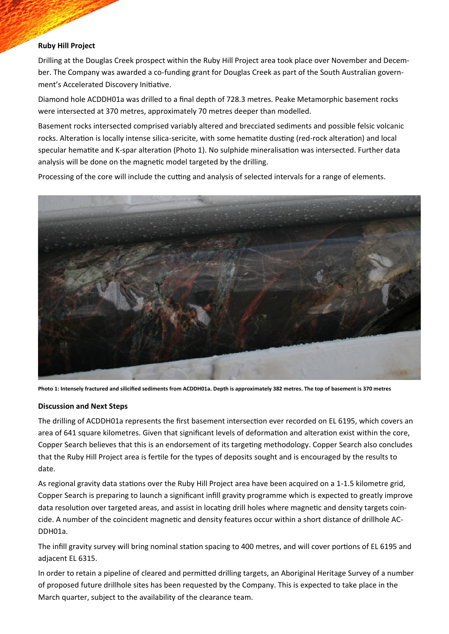#### **Ruby Hill Project**

Drilling at the Douglas Creek prospect within the Ruby Hill Project area took place over November and December. The Company was awarded a co-funding grant for Douglas Creek as part of the South Australian government's Accelerated Discovery Initiative.

Diamond hole ACDDH01a was drilled to a final depth of 728.3 metres. Peake Metamorphic basement rocks were intersected at 370 metres, approximately 70 metres deeper than modelled.

Basement rocks intersected comprised variably altered and brecciated sediments and possible felsic volcanic rocks. Alteration is locally intense silica-sericite, with some hematite dusting (red-rock alteration) and local specular hematite and K-spar alteration (Photo 1). No sulphide mineralisation was intersected. Further data analysis will be done on the magnetic model targeted by the drilling.

Processing of the core will include the cutting and analysis of selected intervals for a range of elements.



**Photo 1: Intensely fractured and silicified sediments from ACDDH01a. Depth is approximately 382 metres. The top of basement is 370 metres**

#### **Discussion and Next Steps**

The drilling of ACDDH01a represents the first basement intersection ever recorded on EL 6195, which covers an area of 641 square kilometres. Given that significant levels of deformation and alteration exist within the core, Copper Search believes that this is an endorsement of its targeting methodology. Copper Search also concludes that the Ruby Hill Project area is fertile for the types of deposits sought and is encouraged by the results to date.

As regional gravity data stations over the Ruby Hill Project area have been acquired on a 1-1.5 kilometre grid, Copper Search is preparing to launch a significant infill gravity programme which is expected to greatly improve data resolution over targeted areas, and assist in locating drill holes where magnetic and density targets coincide. A number of the coincident magnetic and density features occur within a short distance of drillhole AC-DDH01a.

The infill gravity survey will bring nominal station spacing to 400 metres, and will cover portions of EL 6195 and adjacent EL 6315.

In order to retain a pipeline of cleared and permitted drilling targets, an Aboriginal Heritage Survey of a number of proposed future drillhole sites has been requested by the Company. This is expected to take place in the March quarter, subject to the availability of the clearance team.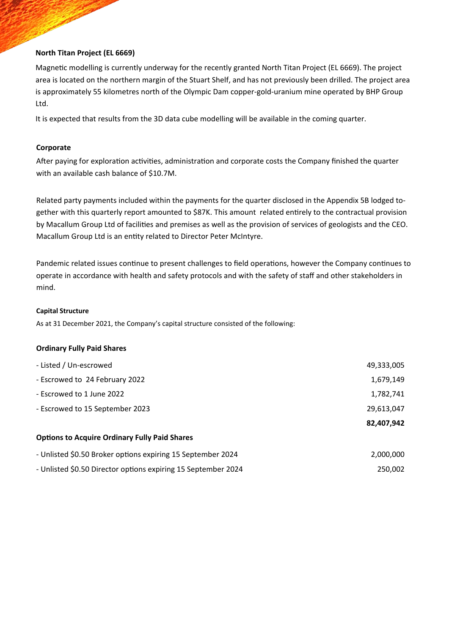#### **North Titan Project (EL 6669)**

Magnetic modelling is currently underway for the recently granted North Titan Project (EL 6669). The project area is located on the northern margin of the Stuart Shelf, and has not previously been drilled. The project area is approximately 55 kilometres north of the Olympic Dam copper-gold-uranium mine operated by BHP Group Ltd.

It is expected that results from the 3D data cube modelling will be available in the coming quarter.

#### **Corporate**

After paying for exploration activities, administration and corporate costs the Company finished the quarter with an available cash balance of \$10.7M.

Related party payments included within the payments for the quarter disclosed in the Appendix 5B lodged together with this quarterly report amounted to \$87K. This amount related entirely to the contractual provision by Macallum Group Ltd of facilities and premises as well as the provision of services of geologists and the CEO. Macallum Group Ltd is an entity related to Director Peter McIntyre.

Pandemic related issues continue to present challenges to field operations, however the Company continues to operate in accordance with health and safety protocols and with the safety of staff and other stakeholders in mind.

#### **Capital Structure**

As at 31 December 2021, the Company's capital structure consisted of the following:

#### **Ordinary Fully Paid Shares**

| - Listed / Un-escrowed                                      | 49,333,005 |
|-------------------------------------------------------------|------------|
| - Escrowed to 24 February 2022                              | 1,679,149  |
| - Escrowed to 1 June 2022                                   | 1,782,741  |
| - Escrowed to 15 September 2023                             | 29,613,047 |
|                                                             | 82,407,942 |
|                                                             |            |
| <b>Options to Acquire Ordinary Fully Paid Shares</b>        |            |
| - Unlisted \$0.50 Broker options expiring 15 September 2024 | 2,000,000  |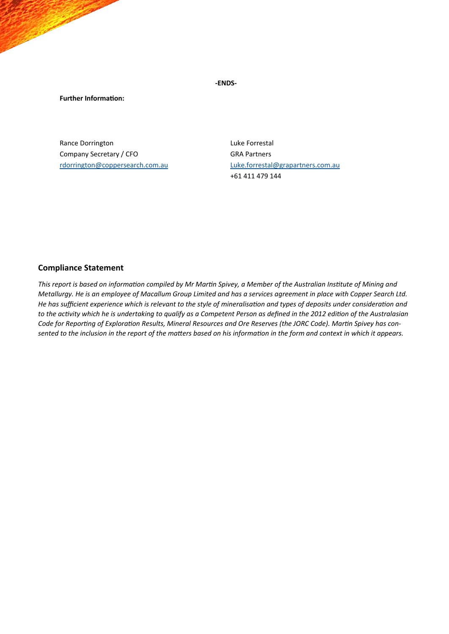**-ENDS-**

**Further Information:**

Rance Dorrington **Luke Forcestal** Company Secretary / CFO GRA Partners

[rdorrington@coppersearch.com.au](mailto:rdorrington@coppersearch.com.au) [Luke.forrestal@grapartners.com.au](mailto:Luke.forrestal@grapartners.com.au) +61 411 479 144

#### **Compliance Statement**

*This report is based on information compiled by Mr Martin Spivey, a Member of the Australian Institute of Mining and Metallurgy. He is an employee of Macallum Group Limited and has a services agreement in place with Copper Search Ltd. He has sufficient experience which is relevant to the style of mineralisation and types of deposits under consideration and to the activity which he is undertaking to qualify as a Competent Person as defined in the 2012 edition of the Australasian Code for Reporting of Exploration Results, Mineral Resources and Ore Reserves (the JORC Code). Martin Spivey has consented to the inclusion in the report of the matters based on his information in the form and context in which it appears.*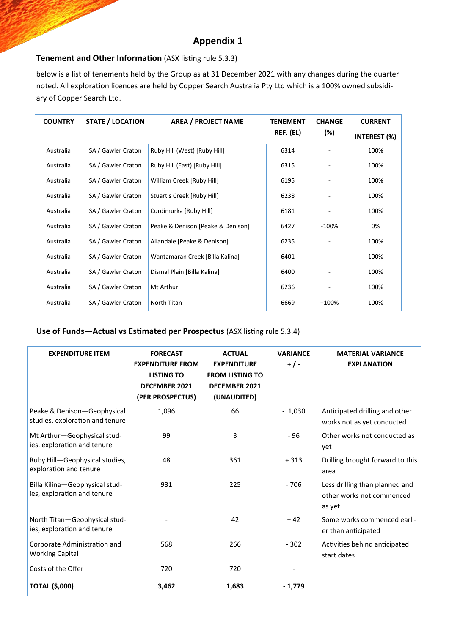## **Appendix 1**

## **Tenement and Other Information** (ASX listing rule 5.3.3)

below is a list of tenements held by the Group as at 31 December 2021 with any changes during the quarter noted. All exploration licences are held by Copper Search Australia Pty Ltd which is a 100% owned subsidiary of Copper Search Ltd.

| <b>COUNTRY</b> | <b>STATE / LOCATION</b> | <b>AREA / PROJECT NAME</b>        | <b>TENEMENT</b> | <b>CHANGE</b> | <b>CURRENT</b>      |
|----------------|-------------------------|-----------------------------------|-----------------|---------------|---------------------|
|                |                         |                                   | REF. (EL)       | (%)           | <b>INTEREST (%)</b> |
| Australia      | SA / Gawler Craton      | Ruby Hill (West) [Ruby Hill]      | 6314            |               | 100%                |
| Australia      | SA / Gawler Craton      | Ruby Hill (East) [Ruby Hill]      | 6315            |               | 100%                |
| Australia      | SA / Gawler Craton      | William Creek [Ruby Hill]         | 6195            |               | 100%                |
| Australia      | SA / Gawler Craton      | Stuart's Creek [Ruby Hill]        | 6238            |               | 100%                |
| Australia      | SA / Gawler Craton      | Curdimurka [Ruby Hill]            | 6181            |               | 100%                |
| Australia      | SA / Gawler Craton      | Peake & Denison [Peake & Denison] | 6427            | $-100%$       | 0%                  |
| Australia      | SA / Gawler Craton      | Allandale [Peake & Denison]       | 6235            |               | 100%                |
| Australia      | SA / Gawler Craton      | Wantamaran Creek [Billa Kalina]   | 6401            |               | 100%                |
| Australia      | SA / Gawler Craton      | Dismal Plain [Billa Kalina]       | 6400            |               | 100%                |
| Australia      | SA / Gawler Craton      | Mt Arthur                         | 6236            |               | 100%                |
| Australia      | SA / Gawler Craton      | North Titan                       | 6669            | +100%         | 100%                |

### **Use of Funds—Actual vs Estimated per Prospectus (ASX listing rule 5.3.4)**

| <b>EXPENDITURE ITEM</b>                                        | <b>FORECAST</b><br><b>EXPENDITURE FROM</b><br><b>LISTING TO</b><br><b>DECEMBER 2021</b><br>(PER PROSPECTUS) | <b>ACTUAL</b><br><b>EXPENDITURE</b><br><b>FROM LISTING TO</b><br><b>DECEMBER 2021</b><br>(UNAUDITED) | <b>VARIANCE</b><br>$+/-$ | <b>MATERIAL VARIANCE</b><br><b>EXPLANATION</b>                        |
|----------------------------------------------------------------|-------------------------------------------------------------------------------------------------------------|------------------------------------------------------------------------------------------------------|--------------------------|-----------------------------------------------------------------------|
| Peake & Denison-Geophysical<br>studies, exploration and tenure | 1,096                                                                                                       | 66                                                                                                   | $-1,030$                 | Anticipated drilling and other<br>works not as yet conducted          |
| Mt Arthur-Geophysical stud-<br>ies, exploration and tenure     | 99                                                                                                          | 3                                                                                                    | $-96$                    | Other works not conducted as<br>yet                                   |
| Ruby Hill-Geophysical studies,<br>exploration and tenure       | 48                                                                                                          | 361                                                                                                  | $+313$                   | Drilling brought forward to this<br>area                              |
| Billa Kilina-Geophysical stud-<br>ies, exploration and tenure  | 931                                                                                                         | 225                                                                                                  | $-706$                   | Less drilling than planned and<br>other works not commenced<br>as yet |
| North Titan-Geophysical stud-<br>ies, exploration and tenure   |                                                                                                             | 42                                                                                                   | $+42$                    | Some works commenced earli-<br>er than anticipated                    |
| Corporate Administration and<br><b>Working Capital</b>         | 568                                                                                                         | 266                                                                                                  | $-302$                   | Activities behind anticipated<br>start dates                          |
| Costs of the Offer                                             | 720                                                                                                         | 720                                                                                                  |                          |                                                                       |
| <b>TOTAL (\$,000)</b>                                          | 3,462                                                                                                       | 1,683                                                                                                | $-1,779$                 |                                                                       |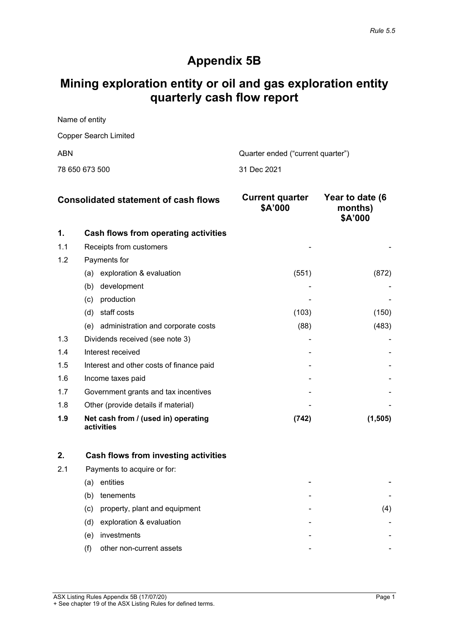## **Appendix 5B**

## **Mining exploration entity or oil and gas exploration entity quarterly cash flow report**

| Name of entity        |                                   |
|-----------------------|-----------------------------------|
| Copper Search Limited |                                   |
| ABN                   | Quarter ended ("current quarter") |
|                       |                                   |

|  | 78 650 673 500 |
|--|----------------|
|  |                |

31 Dec 2021

|     | <b>Consolidated statement of cash flows</b>       | <b>Current quarter</b><br>\$A'000 | Year to date (6<br>months)<br>\$A'000 |
|-----|---------------------------------------------------|-----------------------------------|---------------------------------------|
| 1.  | Cash flows from operating activities              |                                   |                                       |
| 1.1 | Receipts from customers                           |                                   |                                       |
| 1.2 | Payments for                                      |                                   |                                       |
|     | exploration & evaluation<br>(a)                   | (551)                             | (872)                                 |
|     | development<br>(b)                                |                                   |                                       |
|     | production<br>(c)                                 |                                   |                                       |
|     | staff costs<br>(d)                                | (103)                             | (150)                                 |
|     | administration and corporate costs<br>(e)         | (88)                              | (483)                                 |
| 1.3 | Dividends received (see note 3)                   |                                   |                                       |
| 1.4 | Interest received                                 |                                   |                                       |
| 1.5 | Interest and other costs of finance paid          |                                   |                                       |
| 1.6 | Income taxes paid                                 |                                   |                                       |
| 1.7 | Government grants and tax incentives              |                                   |                                       |
| 1.8 | Other (provide details if material)               |                                   |                                       |
| 1.9 | Net cash from / (used in) operating<br>activities | (742)                             | (1, 505)                              |

|     | Cash flows from investing activities  |   |  |
|-----|---------------------------------------|---|--|
| 2.1 | Payments to acquire or for:           |   |  |
|     | entities<br>(a                        |   |  |
|     | tenements<br>(b)                      | - |  |
|     | property, plant and equipment<br>(C). | - |  |
|     | exploration & evaluation<br>(d)       | - |  |
|     | investments<br>(e)                    | - |  |
|     | other non-current assets<br>(f)       | - |  |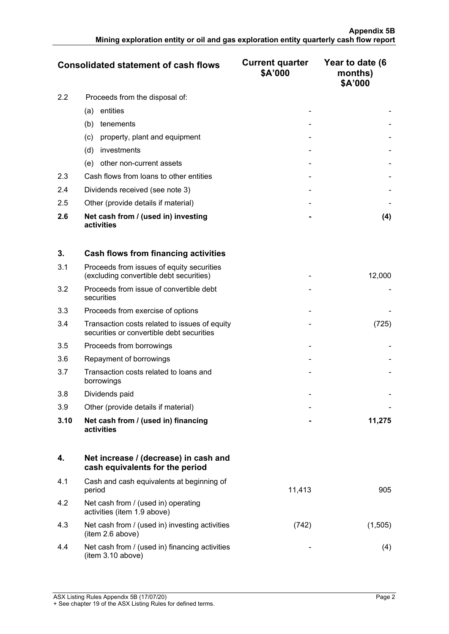|     | <b>Consolidated statement of cash flows</b>       | <b>Current quarter</b><br>\$A'000 | Year to date (6<br>months)<br>\$A'000 |
|-----|---------------------------------------------------|-----------------------------------|---------------------------------------|
| 2.2 | Proceeds from the disposal of:                    |                                   |                                       |
|     | entities<br>(a)                                   |                                   |                                       |
|     | tenements<br>(b)                                  |                                   |                                       |
|     | property, plant and equipment<br>(c)              |                                   |                                       |
|     | investments<br>(d)                                |                                   |                                       |
|     | other non-current assets<br>(e)                   |                                   |                                       |
| 2.3 | Cash flows from loans to other entities           |                                   |                                       |
| 2.4 | Dividends received (see note 3)                   |                                   |                                       |
| 2.5 | Other (provide details if material)               |                                   |                                       |
| 2.6 | Net cash from / (used in) investing<br>activities |                                   | (4)                                   |

| 3.   | <b>Cash flows from financing activities</b>                                                |        |
|------|--------------------------------------------------------------------------------------------|--------|
| 3.1  | Proceeds from issues of equity securities<br>(excluding convertible debt securities)       | 12,000 |
| 3.2  | Proceeds from issue of convertible debt<br>securities                                      |        |
| 3.3  | Proceeds from exercise of options                                                          |        |
| 3.4  | Transaction costs related to issues of equity<br>securities or convertible debt securities | (725)  |
| 3.5  | Proceeds from borrowings                                                                   |        |
| 3.6  | Repayment of borrowings                                                                    |        |
| 3.7  | Transaction costs related to loans and<br>borrowings                                       |        |
| 3.8  | Dividends paid                                                                             |        |
| 3.9  | Other (provide details if material)                                                        |        |
| 3.10 | Net cash from / (used in) financing<br>activities                                          | 11,275 |

|     | Net increase / (decrease) in cash and<br>cash equivalents for the period |        |  |
|-----|--------------------------------------------------------------------------|--------|--|
| 4.1 | Cash and cash equivalents at beginning of<br>period                      | 11,413 |  |
| 4.2 | Net cash from / (used in) operating<br>activities (item 1.9 above)       |        |  |
| 4.3 | Net cash from / (used in) investing activities<br>(item 2.6 above)       | 742    |  |
| 4.4 | Net cash from / (used in) financing activities<br>(item 3.10 above)      |        |  |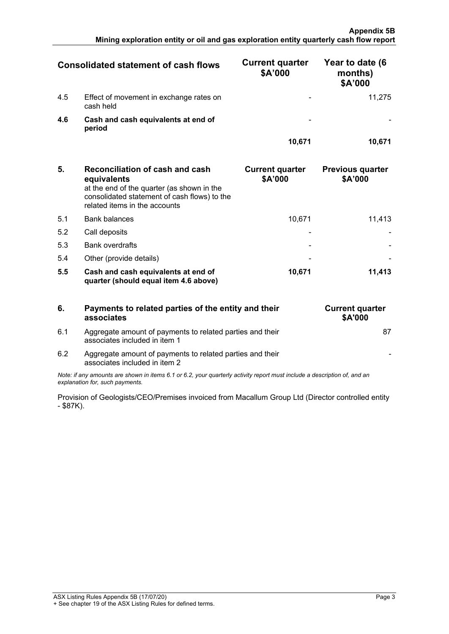|     | <b>Consolidated statement of cash flows</b>          | <b>Current quarter</b><br>\$A'000 | Year to date (6<br>months)<br>\$A'000 |
|-----|------------------------------------------------------|-----------------------------------|---------------------------------------|
| 4.5 | Effect of movement in exchange rates on<br>cash held |                                   | 11 275                                |
| 4.6 | Cash and cash equivalents at end of<br>period        |                                   |                                       |
|     |                                                      | 10.671                            |                                       |

| 5.  | <b>Reconciliation of cash and cash</b><br>equivalents<br>at the end of the quarter (as shown in the<br>consolidated statement of cash flows) to the<br>related items in the accounts | <b>Current quarter</b><br>\$A'000 | <b>Previous quarter</b><br>\$A'000 |
|-----|--------------------------------------------------------------------------------------------------------------------------------------------------------------------------------------|-----------------------------------|------------------------------------|
| 5.1 | <b>Bank balances</b>                                                                                                                                                                 | 10.671                            | 11.413                             |
| 5.2 | Call deposits                                                                                                                                                                        |                                   |                                    |
| 5.3 | <b>Bank overdrafts</b>                                                                                                                                                               |                                   |                                    |
| 5.4 | Other (provide details)                                                                                                                                                              |                                   |                                    |
| 5.5 | Cash and cash equivalents at end of<br>quarter (should equal item 4.6 above)                                                                                                         | 10,671                            | 11.413                             |

| 6         | Payments to related parties of the entity and their<br>associates                                                                                           | <b>Current quarter</b><br><b>\$A'000</b> |
|-----------|-------------------------------------------------------------------------------------------------------------------------------------------------------------|------------------------------------------|
| 6.1       | Aggregate amount of payments to related parties and their<br>associates included in item 1                                                                  |                                          |
| 6.2       | Aggregate amount of payments to related parties and their<br>associates included in item 2                                                                  |                                          |
|           | Note: if any amounts are shown in items 6.1 or 6.2, your quarterly activity report must include a description of, and an<br>explanation for, such payments. |                                          |
| - \$87K). | Provision of Geologists/CEO/Premises invoiced from Macallum Group Ltd (Director controlled entity                                                           |                                          |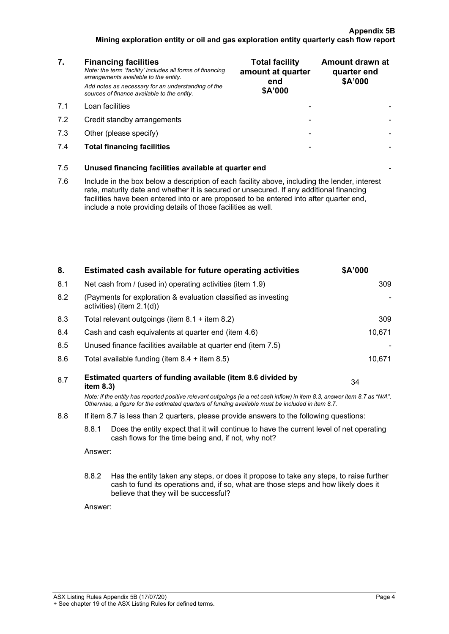#### **Appendix 5B Mining exploration entity or oil and gas exploration entity quarterly cash flow report**

| 7.  | <b>Financing facilities</b><br>Note: the term "facility' includes all forms of financing<br>arrangements available to the entity.<br>Add notes as necessary for an understanding of the<br>sources of finance available to the entity.                                                                                                               | <b>Total facility</b><br>amount at quarter<br>end<br>\$A'000 | Amount drawn at<br>quarter end<br>\$A'000 |  |
|-----|------------------------------------------------------------------------------------------------------------------------------------------------------------------------------------------------------------------------------------------------------------------------------------------------------------------------------------------------------|--------------------------------------------------------------|-------------------------------------------|--|
| 7.1 | Loan facilities                                                                                                                                                                                                                                                                                                                                      |                                                              |                                           |  |
| 7.2 | Credit standby arrangements                                                                                                                                                                                                                                                                                                                          |                                                              |                                           |  |
| 7.3 | Other (please specify)                                                                                                                                                                                                                                                                                                                               |                                                              |                                           |  |
| 7.4 | <b>Total financing facilities</b>                                                                                                                                                                                                                                                                                                                    |                                                              |                                           |  |
| 7.5 | Unused financing facilities available at quarter end                                                                                                                                                                                                                                                                                                 |                                                              |                                           |  |
| 7.6 | Include in the box below a description of each facility above, including the lender, interest<br>rate, maturity date and whether it is secured or unsecured. If any additional financing<br>facilities have been entered into or are proposed to be entered into after quarter end,<br>include a note providing details of those facilities as well. |                                                              |                                           |  |
|     |                                                                                                                                                                                                                                                                                                                                                      |                                                              |                                           |  |

| 8.  |                                                                                                                                                                                                                                 | Estimated cash available for future operating activities     | \$A'000 |  |
|-----|---------------------------------------------------------------------------------------------------------------------------------------------------------------------------------------------------------------------------------|--------------------------------------------------------------|---------|--|
| 8.1 | Net cash from / (used in) operating activities (item 1.9)                                                                                                                                                                       |                                                              | 309     |  |
| 8.2 | (Payments for exploration & evaluation classified as investing<br>activities) (item 2.1(d))                                                                                                                                     |                                                              |         |  |
| 8.3 | Total relevant outgoings (item $8.1 +$ item $8.2$ )                                                                                                                                                                             |                                                              | 309     |  |
| 8.4 | Cash and cash equivalents at quarter end (item 4.6)                                                                                                                                                                             |                                                              | 10,671  |  |
| 8.5 | Unused finance facilities available at quarter end (item 7.5)                                                                                                                                                                   |                                                              |         |  |
| 8.6 |                                                                                                                                                                                                                                 | Total available funding (item $8.4 +$ item $8.5$ )           | 10,671  |  |
| 8.7 | item 8.3)                                                                                                                                                                                                                       | Estimated quarters of funding available (item 8.6 divided by | 34      |  |
|     | Note: if the entity has reported positive relevant outgoings (ie a net cash inflow) in item 8.3, answer item 8.7 as "N/A".<br>Otherwise, a figure for the estimated quarters of funding available must be included in item 8.7. |                                                              |         |  |
| 8.8 | If item 8.7 is less than 2 quarters, please provide answers to the following questions:                                                                                                                                         |                                                              |         |  |
|     | 8.8.1<br>Does the entity expect that it will continue to have the current level of net operating<br>cash flows for the time being and, if not, why not?                                                                         |                                                              |         |  |
|     | Answer:                                                                                                                                                                                                                         |                                                              |         |  |
|     | 8.8.2<br>Has the entity taken any steps, or does it propose to take any steps, to raise further<br>cash to fund its operations and, if so, what are those steps and how likely does it<br>believe that they will be successful? |                                                              |         |  |
|     | Answer:                                                                                                                                                                                                                         |                                                              |         |  |
|     |                                                                                                                                                                                                                                 |                                                              |         |  |